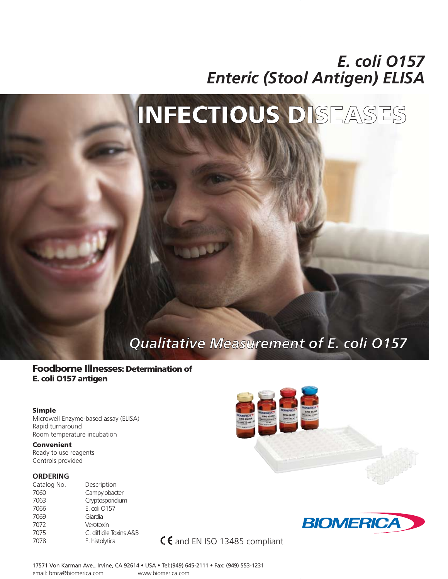# *E. coli O157 Enteric (Stool Antigen) ELISA*

# INFECTIOUS DISEASES

# *Qualitative Measurement of E. coli O157*

## Foodborne Illnesses: Determination of E. coli O157 antigen

#### Simple

Microwell Enzyme-based assay (ELISA) Rapid turnaround Room temperature incubation

#### Convenient

Ready to use reagents Controls provided

#### **ORDERING**

| Catalog No. | Description             |
|-------------|-------------------------|
| 7060        | Campylobacter           |
| 7063        | Cryptosporidium         |
| 7066        | E. coli 0157            |
| 7069        | Giardia                 |
| 7072        | Verotoxin               |
| 7075        | C. difficile Toxins A&B |
| 7078        | E. histolytica          |
|             |                         |





C € and EN ISO 13485 compliant

17571 Von Karman Ave., Irvine, CA 92614 • USA • Tel:(949) 645-2111 • Fax: (949) 553-1231 email: bmra@biomerica.com www.biomerica.com